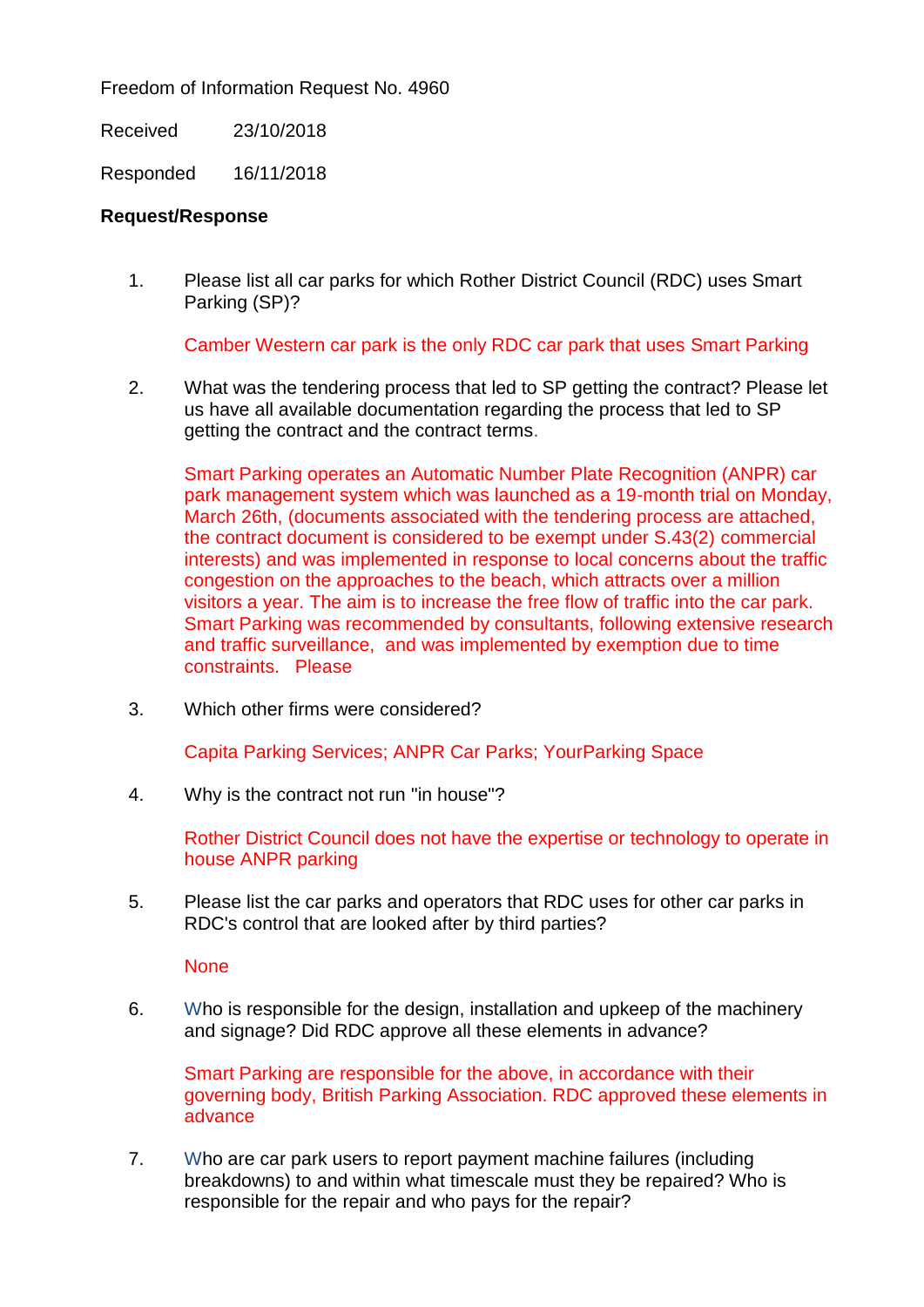Freedom of Information Request No. 4960

Received 23/10/2018

Responded 16/11/2018

## **Request/Response**

1. Please list all car parks for which Rother District Council (RDC) uses Smart Parking (SP)?

Camber Western car park is the only RDC car park that uses Smart Parking

2. What was the tendering process that led to SP getting the contract? Please let us have all available documentation regarding the process that led to SP getting the contract and the contract terms.

Smart Parking operates an Automatic Number Plate Recognition (ANPR) car park management system which was launched as a 19-month trial on Monday, March 26th, (documents associated with the tendering process are attached, the contract document is considered to be exempt under S.43(2) commercial interests) and was implemented in response to local concerns about the traffic congestion on the approaches to the beach, which attracts over a million visitors a year. The aim is to increase the free flow of traffic into the car park. Smart Parking was recommended by consultants, following extensive research and traffic surveillance, and was implemented by exemption due to time constraints. Please

3. Which other firms were considered?

Capita Parking Services; ANPR Car Parks; YourParking Space

4. Why is the contract not run "in house"?

Rother District Council does not have the expertise or technology to operate in house ANPR parking

5. Please list the car parks and operators that RDC uses for other car parks in RDC's control that are looked after by third parties?

**None** 

6. Who is responsible for the design, installation and upkeep of the machinery and signage? Did RDC approve all these elements in advance?

Smart Parking are responsible for the above, in accordance with their governing body, British Parking Association. RDC approved these elements in advance

7. Who are car park users to report payment machine failures (including breakdowns) to and within what timescale must they be repaired? Who is responsible for the repair and who pays for the repair?